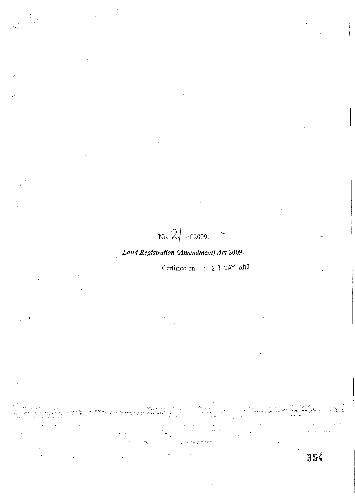No.  $2/$  of 2009.

# *Land Registration (Amendment) Act 2009.*

Certified.on : 2 0 MAY 2010

-'.- ','  $\sim$  -  $\sim$ 

 $35<sub>4</sub>$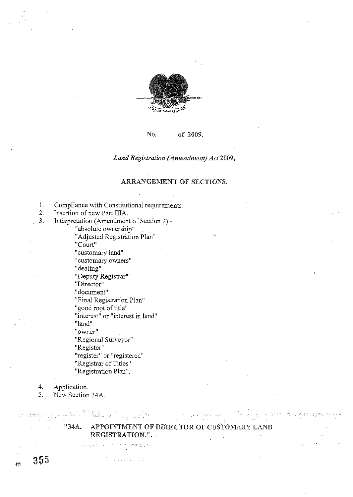

# No. of 2009.

*Land Registration (Amendment) Act 2009,* 

# ARRANGEMENT OF SECTIONS.

- 1. Compliance with Constitutional requirements.<br>2. Insertion of new Part IIIA.
- Insertion of new Part IIIA.
- 3. Interpretation (Amendment of Section 2) -

"absolute ownership"

"Adjusted Registration Plan" **"Court"** 

"customary land"

"customary owners"

"dealing"

"Deputy Registrar"

**"Director!!** 

"document"

"Final Registration Plan"

"good root of title"

**"interest" or "interest in land"** 

"land"

**"owner"** 

"Regional Surveyor"

"Register"

**J'register" or "registered"** 

"Registrar of Titles"

"Registration Plan".

4. Application.

 $355$ 

 $\frac{1}{2}$ 

5. New Section *34A.* 

# "34A. APPOINTMENT OF DIRECTOR OF CUSTOMARY LAND REGISTRATION.".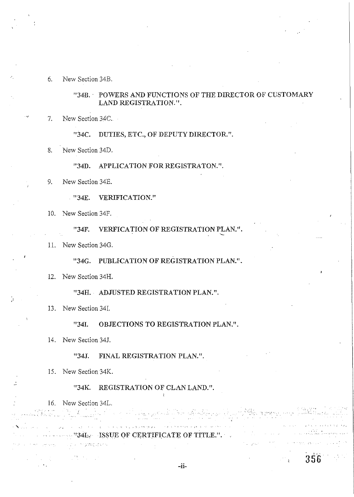6. New Section 34B.

"34B.· POWERS AND FUNCTIONS OF THE DIRECTOR OF CUSTOMARY LAND REGISTRATION.".

7. New Section 34C.

"34C. DUTIES, ETC., OF DEPUTY DIRECTOR.".

8. New Section 34D.

"34D. APPLICATION FOR REGISTRATON.".

9. New Section 34E.

"34E. VERIFICATION."

10. New Section 34F.

"34F. VERFICATION OF REGISTRATION PLAN.".

11. New Section 34G.

"34G. PUBLICATION OF REGISTRATION PLAN.".

12. New Section 34H.

"34H. ADJUSTED REGISTRATION PLAN.".

13. New Section 34I.

"341. OBJECTIONS TO REGISTRATION PLAN.".

14. New Section 34J.

"34J. FINAL REGISTRATION PLAN.".

15. New Section 34K.

*"34K.* REGISTRATION OF CLAN LAND.".

. "34L. ISSUE OF CERTIFICATE OF TITLE.".

-ii-

16. New Section 34L.

 $\label{eq:1} \mathcal{L}_{\mathcal{A}} = \mathcal{L}_{\mathcal{A}} \mathcal{L}_{\mathcal{A}} = \mathcal{L}_{\mathcal{A}} \mathcal{L}_{\mathcal{A}} \mathcal{L}_{\mathcal{A}} \mathcal{L}_{\mathcal{A}} \mathcal{L}_{\mathcal{A}} \mathcal{L}_{\mathcal{A}} \mathcal{L}_{\mathcal{A}}$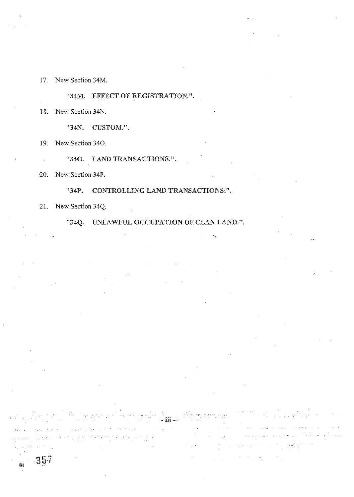17. New Section 34M.

"34M. EFFECT OF REGISTRATION.".

18. New Section 34N.

"34N. CUSTOM.".

19. New Section 340.

"340. LAND TRANSACTIONS.".

 $\hat{\chi}_{\rm eff}$ 

20. New Section 34P.

"34P. CONTROLLING LAND TRANSACTIONS.".

21. New Section 34Q.

 $\hat{r}$  ,  $\hat{r}$  ,  $\hat{r}$  ,  $\hat{\alpha}$ 

"34Q. UNLAWFUL OcCUPATION OF CLAN LAND.".

 $\hat{\mathcal{A}}$  and  $\hat{\mathcal{A}}$ 

- is denoted in  $\mathbb{R}^n$  . Suppose the equal of the set of a matrix  $g^2$  , and

 $\pm$  30  $\pm$  30  $\pm$  30  $\pm$  30  $\pm$ 

 $\label{eq:3.1} \frac{1}{\sqrt{2}}\left(\frac{1}{\sqrt{2}}\right)^{2} \left(\frac{1}{\sqrt{2}}\right)^{2} \left(\frac{1}{\sqrt{2}}\right)^{2} \left(\frac{1}{\sqrt{2}}\right)^{2} \left(\frac{1}{\sqrt{2}}\right)^{2} \left(\frac{1}{\sqrt{2}}\right)^{2} \left(\frac{1}{\sqrt{2}}\right)^{2} \left(\frac{1}{\sqrt{2}}\right)^{2} \left(\frac{1}{\sqrt{2}}\right)^{2} \left(\frac{1}{\sqrt{2}}\right)^{2} \left(\frac{1}{\sqrt{2}}\right)^{2} \left(\$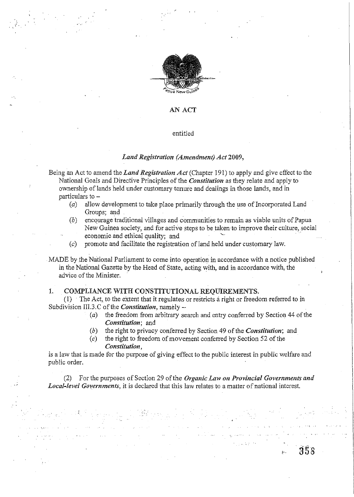

**" .** 

#### AN ACT

#### entitled

## *Land Registration (Amendment) Act 2009,*

- Being an Act to amend the *Land Registration Act* (Chapter 191) to apply and give effect to the National Goals and Directive Principles of the *Constitution* as they relate and apply to ownership of lands held under customary tenure and dealings in those lands, and in particulars to -
	- (a) allow development to take place primarily through the use of Incorporated Land Groups; and .
	- *(b)* encourage traditional villages and communities to remain as viable units of Papua New Guinea society, and for active steps to be taken to improve their culture, social economic and ethical quality; and
	- $(c)$  promote and facilitate the registration of land held under customary law.

MADE by the National Parliament to come into operation in accordance with a notice published in the National Gazette by the Head of State, acting with, and in accordance with, the advice of the Minister.

# 1. COMPLIANCE WITH CONSTITUTIONAL REQUIREMENTS.

2. 1998年 - 1999年<br>1990年 - 1990年 - 1990年 - 1990年

;  $\frac{1}{\epsilon}$ 

(1) . The Act, to the extent that it regulates or restricts a right or freedom referred to in Subdivision III.3.C of the *Constitution*, namely -

> *(a)* the freedom from arbitrary search and entry conferred by Section 44 of the *Constitution;* and

> > 358

- *(b)* the right to privacy conferred by Section 49 of the *Constitution;* and
- ( *c)* the right to freedom of movement conferred by Section 52 of the *Constitution,*

is a law that is made for the purpose of giving effect to the public interest in public welfare and public order.

(2) For the purposes of Section 29 ofthe *Organic Law on Provincial Governments and Local-level Governments*, it is declared that this law relates to a matter of national interest.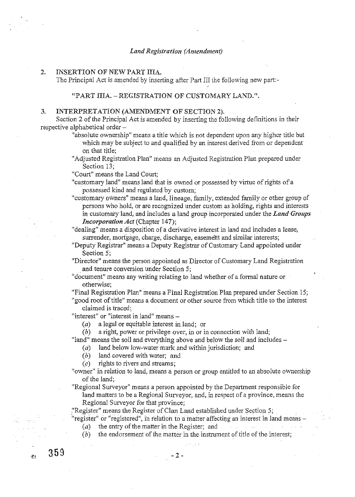#### 2. INSERTION OF NEW PART IIIA.

The Principal Act is amended by inserting after Part III the following new part:-

# "PART IIIA. - REGISTRATION OF CUSTOMARY LAND.".

#### 3. INTERPRETATION (AMENDMENT OF SECTION 2).

Section 2 of the Principal Act is amended by inserting the following definitions in their respective alphabetical order-

- "absolute ownership" means a title which is not dependent upon any higher title but which may be subject to and qualified by an interest derived from or dependent on that title;
- "Adjusted Registration Plan" means an Adjusted Registration Plan prepared under Section 13;

"Court" means the Land Court;

- "customary land" means land that is owned or possessed by virtue of rights ofa possessed kind and regulated by custom;
- "customary owners" means a land, lineage, family, extended family or other group of persons who hold, or are recognized under custom as holding, rights and interests in customary land, and includes a land group incorporated under the *Land Groups Incorporation Act* (Chapter 147);

"dealing" means a disposition of a derivative interest in land and includes a lease, surrender, mortgage, charge, discharge, easement and similar interests;

"Deputy Registrar" means a Deputy Registrar of Customary Land appointed under Section 5;

"Director" means the person appointed as Director of Customary Land Registration and tenure conversion under Section 5;

- "document" means any writing relating to land whether of a formal nature or otherwise;
- "Final Registration Plan" means a Final Registration Plan prepared under Section 15; "good root of title" means a document or other source from which title to the interest claimed is traced;

"interest" or "interest in land" means -

(a) a legal or equitable interest in land; or

(b) a right, power or privilege over, in or in connection with land;

"land" means the soil and everything above and below the soil and includes -

- $(a)$  land below low-water mark and within jurisdiction; and
- *(b)* land covered with water; and
- $(c)$  rights to rivers and streams;

359

 $-823$ 

- "owner" in relation to land, means a person or group entitled to an absolute ownership of the land;
- "Regional Surveyor" means a person appointed by the Department responsible for land matters to be a Regional Surveyor, and, in respect of a province, means the Regional Surveyor for that province;

:'Register" means the Register of Clan Land established under Section 5;

"register" or "registered", in relation to a matter affecting an interest in land means -

(a) the entry of the matter in the Register; and  $\omega = \sqrt{\lambda}$  $\sim 100$ 

 $-2 -$ 

(b) the endorsement of the matter in the instrument of title of the interest;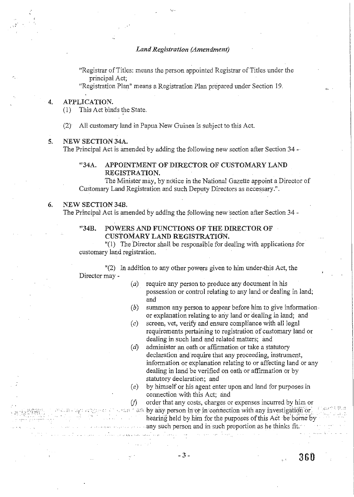'.,'.

"Registrar of Titles: means the person appointed Registrar of Titles under the principal Act;

"Registration Plan" means a Registration Plan prepared under Section 19.

#### 4. APPLICATION.

(I) This Act binds the State.

(2) All customary land in Papua New Guinea is subject to this Act.

#### S. NEW SECTION 34A.

The Principal Act is amended by adding the following new section after Section 34 -

# "34A. APPOINTMENT OF DIRECTOR OF CUSTOMARY LAND REGISTRATION.

The Minister may, by notice in the National Gazette appoint a Director of Customary Land Registration and such Deputy Directors as necessary." .

# 6. NEW SECTION 34B.

The Principal Act is amended by adding the following new 'section after Section 34 -

## "34B. POWERS AND FUNCTIONS OF THE DIRECTOR OF CUSTOMARY LAND REGISTRATION.

"(1) The Director shall be responsible for dealing with applications for customary land registration.

 $'(2)$  In addition to any other powers given to him under this Act, the Director may -

- $(a)$  require any person to produce any document in his possession or control relating to any land or dealing in land; and
- $(b)$  summon any person to appear before him to give information or explanation relating to any land or dealing in land; and
- (c) screen, vet, verify and ensure compliance with all legal requirements pertaining to registration of customary land or dealing in such land and related matters; and
- (d) administer an oath or affirmation or take a statutory declaration and require that any proceeding, instrument, information or explanation relating to or affecting land or any dealing in land be verified on oath or affirmation or by statutory declaration; and
- *(e)* by himself or his agent enter upon and land for purposes in connection with this Act; and

*if)* order that any costs, charges or expenses incurred by him or  $\sim$  "..." an by any person in or in connection with any investigation or hearing held by him for the purposes of this Act be borne by **Angle 2.5 any such person and in such proportion as he thinks fit.**  $\label{eq:2} \begin{array}{ll} \mathbb{E}[\mathcal{A}^{\mathcal{A}}_{\mathcal{A}}] & \mathbb{E}[\mathcal{A}^{\mathcal{A}}_{\mathcal{A}}] & \mathbb{E}[\mathcal{A}^{\mathcal{A}}_{\mathcal{A}}] & \mathbb{E}[\mathcal{A}^{\mathcal{A}}_{\mathcal{A}}] & \mathbb{E}[\mathcal{A}^{\mathcal{A}}_{\mathcal{A}}] \\ \mathbb{E}[\mathcal{A}^{\mathcal{A}}_{\mathcal{A}}] & \mathbb{E}[\mathcal{A}^{\mathcal{A}}_{\mathcal{A}}] & \mathbb{E}[\mathcal{$ المتحارب والمعاقبة العهداء المعاقبات

 $\mathcal{L}_{\rm{max}}$  and  $\mathcal{L}_{\rm{max}}$ 

-3- **360** 

 $\mathcal{E},t^{\,\prime}$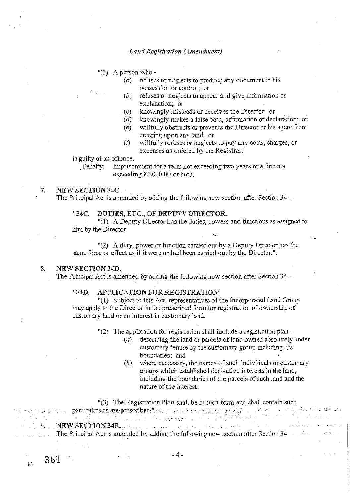"(3) A person who -

- $(a)$  refuses or neglects to produce any document in his possession or control; or
- (b) refuses or neglects to appear and give information or explanation; or
- (e) knowingly misleads or deceives the Director; or
- (d) knowingly makes a false oath, affirmation or declaration; or
- (e) willfully obstructs or prevents the Director or his agent from entering upon any land; or
- $(f)$  willfully refuses or neglects to pay any costs, charges, or expenses as ordered by the Registrar,

is guilty of an offence.

Penalty: Imprisonment for a term not exceeding two years or a fine not exceeding K2000.00 or both.

#### 7. NEW SECTION 34C.

The Principal Act is amended by adding the following new section after Section  $34-$ 

#### "34C. DUTIES, ETC., OF DEPUTY DIRECTOR.

"(1) A Deputy Director has the duties, powers and functions as assigned to him by the Director.

"(2) A duty, power or function carried out by a Deputy Director has the same force or effect as if it were or had been carried out by the Director.".

#### 8. NEW SECTION 34D.

 $L_{\rm m}$ 

The Principal Act is amended by adding the following new section after Section  $34-$ 

#### "34D. APPLICATION FOR REGISTRATION.

"(1) Subject to this Act, representatives of the Incorporated Land Group may apply to the Director in the prescribed form for registration of ownership of customary land or an interest in customary land.

"(2) The application for registration shall include a registration plan -

- $(a)$  describing the land or parcels of land owned absolutely under customary tenure by the customary group including, its boundaries; and
- (b) where necessary, the names of such individuals or customary groups which established derivative interests in the land, including the boundaries of the parcels of such land and the nature of the interest.

"(3) The Registration Plan shall be in such form and shall contain such particulars as, are prescribed. And which are provided in the contribution of the state of the same in in the training The,Principal Act is amended by adding the following new section after Section 34 – 9.NEWSECTION34E. "

 $361$  - 4 -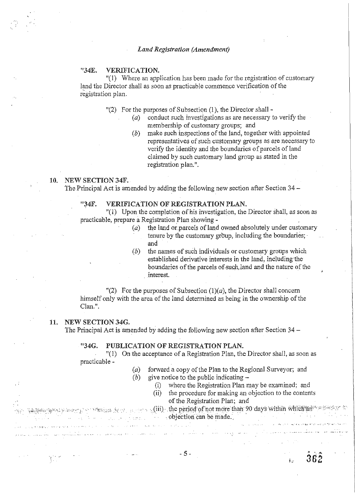# "34E. VERIFICATION.

"(1) Where an application has been made for the registration of customary land the Director shall as soon as practicable commence verification of the registration plan.

"(2) For the purposes of Subsection (1), the Director shall -

- $(a)$  conduct such investigations as are necessary to verify the membership of customary groups; and
- (b) malce such inspections of the land, together with appointed representatives of such customary groups as are necessary to verify the identity and the boundaries of parcels of land claimed by such customary land group as stated in the registration plan.".

# 10. NEW SECTION 34F.

The Principal Act is amended by adding the following new section after Section 34 -

### "34F. VERIFICATION OF REGISTRATION PLAN.

"(1) Upon the completion of his investigation, the Director shall, as soon as practicable, prepare a Registration Plan showing -

- ( $a$ ) the land or parcels of land owned absolutely under customary tenure by the customary group, including the boundaries; and
- $(b)$  the names of such individuals or customary groups which established derivative interests in the land, including the boundaries of the parcels of such land and the nature of the interest.

"(2) For the purposes of Subsection  $(1)(a)$ , the Director shall concern himself only with the area of the land determined as being in the ownership of the Clan.".

# 11. NEW SECTION 34G.

 $\epsilon_{\rm eff}$ 

The Principal Act is amended by adding the following new section after Section  $34 -$ 

#### "34G. PUBLICATION OF REGISTRATION PLAN.

"( 1) On the acceptance of a Registration Plan, the Director shall, as soon as practicable -

| (a)                                                                                                                                       | forward a copy of the Plan to the Regional Surveyor; and                                                                                                                                                                        |                                                                                                    |
|-------------------------------------------------------------------------------------------------------------------------------------------|---------------------------------------------------------------------------------------------------------------------------------------------------------------------------------------------------------------------------------|----------------------------------------------------------------------------------------------------|
| (b)                                                                                                                                       | give notice to the public indicating $-$                                                                                                                                                                                        |                                                                                                    |
|                                                                                                                                           | where the Registration Plan may be examined; and                                                                                                                                                                                |                                                                                                    |
|                                                                                                                                           | (ii) the procedure for making an objection to the contents                                                                                                                                                                      |                                                                                                    |
|                                                                                                                                           | of the Registration Plan; and                                                                                                                                                                                                   |                                                                                                    |
|                                                                                                                                           | we have a more precedent of the second of $\mathop{\rm ind}\nolimits$ the period of $\mathop{\rm not}\nolimits$ more than $90$ days within which an $\mathbb{Z}$ when $\mathbb{Z}$                                              |                                                                                                    |
|                                                                                                                                           | e de la componentación de la componentación de la construcción can be made.                                                                                                                                                     |                                                                                                    |
| and strength and several resolutions of the control of the contract of the control of the control of the second control of the control of |                                                                                                                                                                                                                                 | a shekarar 1992 na kata wasan ƙwallon ƙafa ta ƙasa ta ƙasar ƙasar ƙasar Nasar Afrika Afrika (1983) |
|                                                                                                                                           | المتعاهل وللمحادث والمستحدث والمستحدث المتحدث والمتحدث والمتحدة والمتحد والمتحد والمتحدث والمستحدث والمستحدث                                                                                                                    | <b>Contract Contract</b>                                                                           |
|                                                                                                                                           | 이 사이트 사이트 STATE STATE AND ARRANGEMENT AND A STATE OF THE ARRANGEMENT OF THE ARRANGEMENT OF THE ARRANGEMENT OF<br>The State of the Arrangement of the Arrangement of the Arrangement of the Arrangement of the Arrangement of th |                                                                                                    |

362

 $\mathbf{L}$ 

- 5 -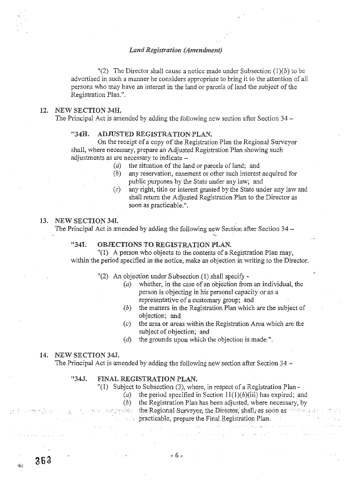"(2) The Director shall cause a notice made under Subsection  $(1)(b)$  to be advertised in such a manner he considers appropriate to bring it to the attention of all persons who may have an interest in the land or parcels of land the subject of the Registration Plan.".

#### 12. NEW SECTION 34H.

The Principal Act is amended by adding the following new section after Section 34 –

#### "34H. ADJUSTED REGISTRATION PLAN.

On the receipt of a copy of the Registration Plan the Regional Surveyor shall, where necessary, prepare an Adjusted Registration Plan showing such adjustments as are necessary to indicate -

- $(a)$  the situation of the land or parcels of land; and
- (b) any reservation, easement or other such interest acquired for public purposes by the State under any law; and
- *(c)* any right, title or interest granted by the State under any law and shall return the Adjusted Registration Plan to the Director as soon as practicable.".

#### 13. NEW SECTION 341.

The Principal Act is amended by adding the following new Section after Section 34 –

# "341. OBJECTIONS TO REGISTRATION PLAN.

"(1) A person who objects to the contents of a Registration Plan may, within the period specified in the notice, make an objection in writing to the Director.

- "(2) An objection under Subsection (1) shall specify
	- (a) whether, in the case of an objection from an individual, the person is objecting in his personal capacity or as a representative of a customary group; and
	- (b) the matters in the Registration Plan which are the subject of objection; and
	- *(c)* the area or areas within the Registration Area which are the subject of objection; and
	- (*d*) the grounds upon which the objection is made.".

#### 14. NEW SECTION 34J.

 $363$ 

 $\mathbf{E}$ 

The Principal Act is amended by adding the following new section after Section  $34 -$ 

## "34J. FINAL REGISTRATION PLAN.

"(1) Subject to Subsection (3), where, in respect of a Registration Plan-

- (a) the period specified in Section  $11(1)(b)(iii)$  has expired; and
- (b) the Registration Plan has been adjusted, where necessary, by
- $\cdots$  , the Regional Surveyor, the Director; shall, as soon as the same in the
	- practicable, prepare the Final Registration Plan;<br>experiences  $\sim 10^{-7}$  $\sim 10$

 $\alpha$  , and  $\alpha$  and  $\alpha$  , and  $\alpha$  , and  $\alpha$  , and  $\alpha$ 

 $\sim 10^{11}$  km

- 6-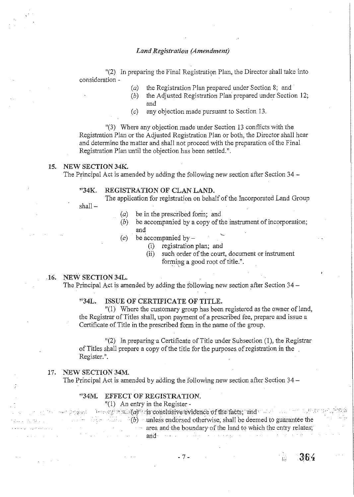$'(2)$  In preparing the Final Registration Plan, the Director shall take into consideration -

- (a) the Registration Plan prepared under Section 8; and'
- (b) the Adjusted Registration Plan prepared under Section 12; and
- (e) any objection made pursuant to Section 13.

"(3) Where any objection made under Section 13 conflicts with the Registration Plan or the Adjusted Registration Plan or both, the Director shall hear and determine the matter and shall not proceed with the preparation of the Final Registration Plan until the objection has been settled.".

# 15. NEW SECTION *34K.*

The Principal Act is amended by adding the following new section after Section  $34 -$ 

# *"34K.* REGISTRATION OF CLAN LAND.

The application for registration on behalf of the Incorporated Land Group

shall-

- *(a)*  be in the prescribed form; and
- (b) be accompanied by a copy of the instrument of incorporation; and
- (e) be accompanied by  $-$ 
	- (i) registration plan; and
		- (ii) such order of the court, document or instrument forming a good root of title.".

#### 16. NEW SECTION 34L.

The Principal Act is amended by adding the following new section after Section 34 –

#### "34L. ISSUE OF CERTIFICATE OF TITLE.

 $"(1)$  Where the customary group has been registered as the owner of land, the Registrar of Titles shall, upon payment of a prescribed fee, prepare and issue a Certificate of Title in the prescribed form in the name of the group.

"(2) In preparing a Certificate of Title under Subsection (1), the Registrar of Titles shall prepare a copy of the title for the purposes, of registration in the Register." .

#### 17. NEW SECTION 34M.

The Principal Act is amended by adding the following new section after Section 34 -

## "34M. EFFECT OF REGISTRATION.

|                          |  | $''(1)$ An entry in the Register -                                                                                           |
|--------------------------|--|------------------------------------------------------------------------------------------------------------------------------|
|                          |  | $\gamma$ and an experimental $\omega$ is conclusive evidence of the facts, and a series of the series of $\omega$            |
|                          |  | <b>Example 2.1</b> (b) unless endorsed otherwise, shall be deemed to guarantee the                                           |
| $\sim$ and $\sim$ $\sim$ |  | area and the boundary of the land to which the entry relates;                                                                |
|                          |  | The same property of the same $\operatorname{and}$ is a same property of the same property of the state of $\mathbb{R}^n$ is |

- 7 -

364

Кś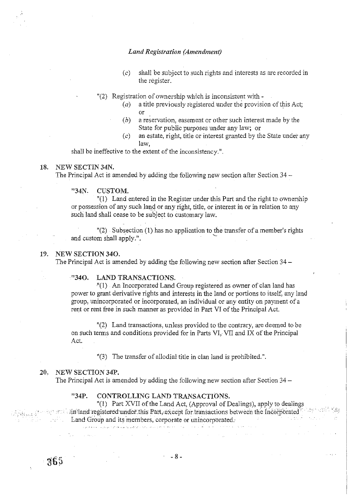- (c) shall be subject to such rights and interests as are recorded in the register.
- "(2) Registration of ownership which is inconsistent with
	- $(a)$  a title previously registered under the provision of this Act; or
	- (b) a reservation, easement or other such interest made by the State for public purposes under any law; or
	- (c) an estate, right, title or interest granted by the State under any law,

shall be ineffective to the extent of the inconsistency.".

## 18. NEW SECTIN 34N.

The Principal Act is amended by adding the following new section after Section 34-

#### "34N. CUSTOM.

"(1) Land entered in the Register under this Part and the right to ownership or possession of any such land or any right, title, or interest in or in relation to any such land shall cease to be subject to customary law.

 $'(2)$  Subsection (1) has no application to the transfer of a member's rights and custom shall apply.".

#### 19. NEW SECTION 340.

The Principal Act is amended by adding the following new section after Section 34-

# "340. LAND TRANSACTIONS.

"(1) An Incorporated Land Group registered as owner of clan land has power to grant derivative rights and interests in the land or portions to itself, any land group, unincorporated or incorporated, an individual or any entity on payment of a rent or rent free in such manner as provided in Part VI of the Principal Act.

"(2) Land transactions, unless provided to the contrary, are deemed to be on such terms and conditions provided for in Parts VI, VII and IX of the Principal Act.

"(3) The transfer of allodial title in clan land is prohibited.".

#### 20. NEW SECTION 34P.

 $-365$ 

The Principal Act is amended by adding the following new section after Section  $34-$ 

## "34P. CONTROLLING LAND TRANSACTIONS.

"(1) Part XVII of the Land Act, (Approval of Dealings), apply to dealings in Flandregistered under this Part, except for transactions between the Incorporated  $T^{\text{top}}$ Land Group and its members, corporate or unincorporated.'

.<br>Experimental consideration of the state of a call of social consideration of the state of  $\sim 10^7$ الأستناء الأوالي الأمار

 $-8 -$